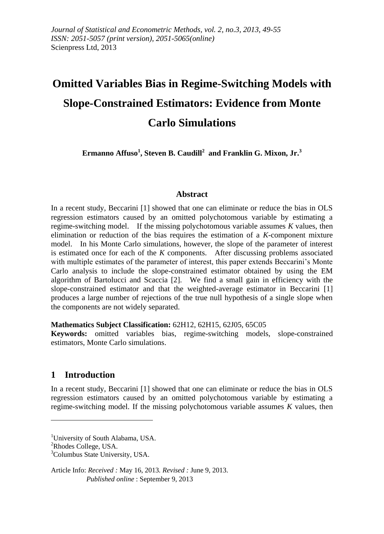# **Omitted Variables Bias in Regime-Switching Models with Slope-Constrained Estimators: Evidence from Monte Carlo Simulations**

**Ermanno Affuso<sup>1</sup> , Steven B. Caudill<sup>2</sup> and Franklin G. Mixon, Jr.<sup>3</sup>**

## **Abstract**

In a recent study, Beccarini [1] showed that one can eliminate or reduce the bias in OLS regression estimators caused by an omitted polychotomous variable by estimating a regime-switching model. If the missing polychotomous variable assumes *K* values, then elimination or reduction of the bias requires the estimation of a *K*-component mixture model. In his Monte Carlo simulations, however, the slope of the parameter of interest is estimated once for each of the *K* components. After discussing problems associated with multiple estimates of the parameter of interest, this paper extends Beccarini's Monte Carlo analysis to include the slope-constrained estimator obtained by using the EM algorithm of Bartolucci and Scaccia [2]. We find a small gain in efficiency with the slope-constrained estimator and that the weighted-average estimator in Beccarini [1] produces a large number of rejections of the true null hypothesis of a single slope when the components are not widely separated.

#### **Mathematics Subject Classification:** 62H12, 62H15, 62J05, 65C05

**Keywords:** omitted variables bias, regime-switching models, slope-constrained estimators, Monte Carlo simulations.

# **1 Introduction**

In a recent study, Beccarini [1] showed that one can eliminate or reduce the bias in OLS regression estimators caused by an omitted polychotomous variable by estimating a regime-switching model. If the missing polychotomous variable assumes *K* values, then

<u>.</u>

Article Info: *Received :* May 16, 2013*. Revised :* June 9, 2013.  *Published online* : September 9, 2013

<sup>&</sup>lt;sup>1</sup>University of South Alabama, USA.

<sup>&</sup>lt;sup>2</sup>Rhodes College, USA.

<sup>&</sup>lt;sup>3</sup>Columbus State University, USA.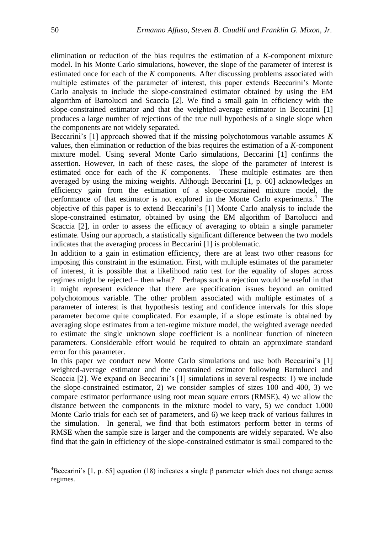elimination or reduction of the bias requires the estimation of a *K*-component mixture model. In his Monte Carlo simulations, however, the slope of the parameter of interest is estimated once for each of the *K* components. After discussing problems associated with multiple estimates of the parameter of interest, this paper extends Beccarini's Monte Carlo analysis to include the slope-constrained estimator obtained by using the EM algorithm of Bartolucci and Scaccia [2]. We find a small gain in efficiency with the slope-constrained estimator and that the weighted-average estimator in Beccarini [1] produces a large number of rejections of the true null hypothesis of a single slope when the components are not widely separated.

Beccarini's [1] approach showed that if the missing polychotomous variable assumes *K* values, then elimination or reduction of the bias requires the estimation of a *K*-component mixture model. Using several Monte Carlo simulations, Beccarini [1] confirms the assertion. However, in each of these cases, the slope of the parameter of interest is estimated once for each of the *K* components. These multiple estimates are then averaged by using the mixing weights. Although Beccarini [1, p. 60] acknowledges an efficiency gain from the estimation of a slope-constrained mixture model, the performance of that estimator is not explored in the Monte Carlo experiments.<sup>4</sup> The objective of this paper is to extend Beccarini's [1] Monte Carlo analysis to include the slope-constrained estimator, obtained by using the EM algorithm of Bartolucci and Scaccia [2], in order to assess the efficacy of averaging to obtain a single parameter estimate. Using our approach, a statistically significant difference between the two models indicates that the averaging process in Beccarini [1] is problematic.

In addition to a gain in estimation efficiency, there are at least two other reasons for imposing this constraint in the estimation. First, with multiple estimates of the parameter of interest, it is possible that a likelihood ratio test for the equality of slopes across regimes might be rejected – then what? Perhaps such a rejection would be useful in that it might represent evidence that there are specification issues beyond an omitted polychotomous variable. The other problem associated with multiple estimates of a parameter of interest is that hypothesis testing and confidence intervals for this slope parameter become quite complicated. For example, if a slope estimate is obtained by averaging slope estimates from a ten-regime mixture model, the weighted average needed to estimate the single unknown slope coefficient is a nonlinear function of nineteen parameters. Considerable effort would be required to obtain an approximate standard error for this parameter.

In this paper we conduct new Monte Carlo simulations and use both Beccarini's [1] weighted-average estimator and the constrained estimator following Bartolucci and Scaccia [2]. We expand on Beccarini's [1] simulations in several respects: 1) we include the slope-constrained estimator, 2) we consider samples of sizes 100 and 400, 3) we compare estimator performance using root mean square errors (RMSE), 4) we allow the distance between the components in the mixture model to vary, 5) we conduct 1,000 Monte Carlo trials for each set of parameters, and 6) we keep track of various failures in the simulation. In general, we find that both estimators perform better in terms of RMSE when the sample size is larger and the components are widely separated. We also find that the gain in efficiency of the slope-constrained estimator is small compared to the

1

<sup>&</sup>lt;sup>4</sup>Beccarini's [1, p. 65] equation (18) indicates a single β parameter which does not change across regimes.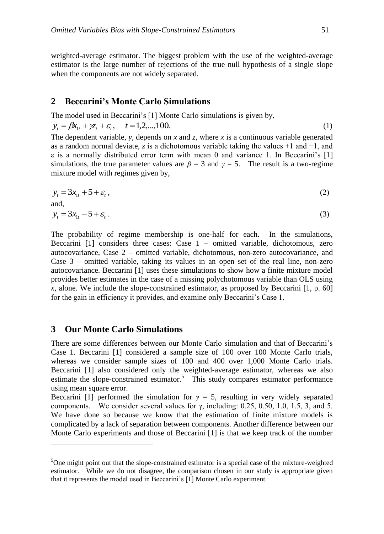weighted-average estimator. The biggest problem with the use of the weighted-average estimator is the large number of rejections of the true null hypothesis of a single slope when the components are not widely separated.

#### **2 Beccarini's Monte Carlo Simulations**

The model used in Beccarini's [1] Monte Carlo simulations is given by,

$$
y_t = \beta x_{1t} + \gamma z_t + \varepsilon_t, \quad t = 1, 2, \dots, 100. \tag{1}
$$

The dependent variable, *y*, depends on *x* and *z*, where *x* is a continuous variable generated as a random normal deviate, *z* is a dichotomous variable taking the values +1 and −1, and ε is a normally distributed error term with mean 0 and variance 1. In Beccarini's [1] simulations, the true parameter values are  $\beta = 3$  and  $\gamma = 5$ . The result is a two-regime mixture model with regimes given by,

$$
y_t = 3x_{1t} + 5 + \varepsilon_t, \tag{2}
$$

and,

<u>.</u>

$$
y_t = 3x_{1t} - 5 + \varepsilon_t \,. \tag{3}
$$

The probability of regime membership is one-half for each. In the simulations, Beccarini  $[1]$  considers three cases: Case  $1$  – omitted variable, dichotomous, zero autocovariance, Case 2 – omitted variable, dichotomous, non-zero autocovariance, and Case 3 – omitted variable, taking its values in an open set of the real line, non-zero autocovariance. Beccarini [1] uses these simulations to show how a finite mixture model provides better estimates in the case of a missing polychotomous variable than OLS using *x*, alone. We include the slope-constrained estimator, as proposed by Beccarini [1, p. 60] for the gain in efficiency it provides, and examine only Beccarini's Case 1.

## **3 Our Monte Carlo Simulations**

There are some differences between our Monte Carlo simulation and that of Beccarini's Case 1. Beccarini [1] considered a sample size of 100 over 100 Monte Carlo trials, whereas we consider sample sizes of 100 and 400 over 1,000 Monte Carlo trials. Beccarini [1] also considered only the weighted-average estimator, whereas we also estimate the slope-constrained estimator.<sup>5</sup> This study compares estimator performance using mean square error.

Beccarini [1] performed the simulation for  $\gamma = 5$ , resulting in very widely separated components. We consider several values for  $\gamma$ , including: 0.25, 0.50, 1.0, 1.5, 3, and 5. We have done so because we know that the estimation of finite mixture models is complicated by a lack of separation between components. Another difference between our Monte Carlo experiments and those of Beccarini [1] is that we keep track of the number

 $5$ One might point out that the slope-constrained estimator is a special case of the mixture-weighted estimator. While we do not disagree, the comparison chosen in our study is appropriate given that it represents the model used in Beccarini's [1] Monte Carlo experiment.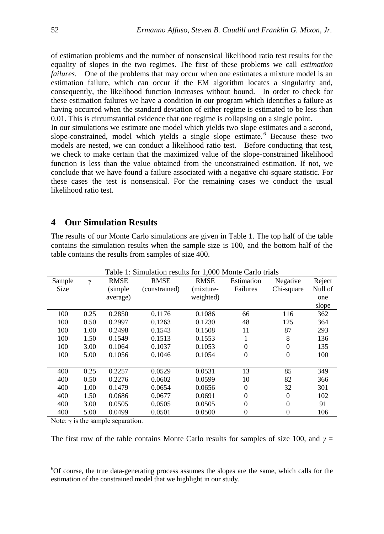of estimation problems and the number of nonsensical likelihood ratio test results for the equality of slopes in the two regimes. The first of these problems we call *estimation failures*. One of the problems that may occur when one estimates a mixture model is an estimation failure, which can occur if the EM algorithm locates a singularity and, consequently, the likelihood function increases without bound. In order to check for these estimation failures we have a condition in our program which identifies a failure as having occurred when the standard deviation of either regime is estimated to be less than 0.01. This is circumstantial evidence that one regime is collapsing on a single point.

In our simulations we estimate one model which yields two slope estimates and a second, slope-constrained, model which yields a single slope estimate.  $6$  Because these two models are nested, we can conduct a likelihood ratio test. Before conducting that test, we check to make certain that the maximized value of the slope-constrained likelihood function is less than the value obtained from the unconstrained estimation. If not, we conclude that we have found a failure associated with a negative chi-square statistic. For these cases the test is nonsensical. For the remaining cases we conduct the usual likelihood ratio test.

# **4 Our Simulation Results**

The results of our Monte Carlo simulations are given in Table 1. The top half of the table contains the simulation results when the sample size is 100, and the bottom half of the table contains the results from samples of size 400.

| Table 1: Simulation results for 1,000 Monte Carlo trials |          |             |               |             |                  |                  |         |
|----------------------------------------------------------|----------|-------------|---------------|-------------|------------------|------------------|---------|
| Sample                                                   | $\gamma$ | <b>RMSE</b> | <b>RMSE</b>   | <b>RMSE</b> | Estimation       | Negative         | Reject  |
| Size                                                     |          | (simple)    | (constrained) | (mixture-   | Failures         | Chi-square       | Null of |
|                                                          |          | average)    |               | weighted)   |                  |                  | one     |
|                                                          |          |             |               |             |                  |                  | slope   |
| 100                                                      | 0.25     | 0.2850      | 0.1176        | 0.1086      | 66               | 116              | 362     |
| 100                                                      | 0.50     | 0.2997      | 0.1263        | 0.1230      | 48               | 125              | 364     |
| 100                                                      | 1.00     | 0.2498      | 0.1543        | 0.1508      | 11               | 87               | 293     |
| 100                                                      | 1.50     | 0.1549      | 0.1513        | 0.1553      | 1                | 8                | 136     |
| 100                                                      | 3.00     | 0.1064      | 0.1037        | 0.1053      | 0                | $\overline{0}$   | 135     |
| 100                                                      | 5.00     | 0.1056      | 0.1046        | 0.1054      | $\theta$         | $\boldsymbol{0}$ | 100     |
|                                                          |          |             |               |             |                  |                  |         |
| 400                                                      | 0.25     | 0.2257      | 0.0529        | 0.0531      | 13               | 85               | 349     |
| 400                                                      | 0.50     | 0.2276      | 0.0602        | 0.0599      | 10               | 82               | 366     |
| 400                                                      | 1.00     | 0.1479      | 0.0654        | 0.0656      | $\Omega$         | 32               | 301     |
| 400                                                      | 1.50     | 0.0686      | 0.0677        | 0.0691      | $\theta$         | $\overline{0}$   | 102     |
| 400                                                      | 3.00     | 0.0505      | 0.0505        | 0.0505      | $\Omega$         | $\overline{0}$   | 91      |
| 400                                                      | 5.00     | 0.0499      | 0.0501        | 0.0500      | $\boldsymbol{0}$ | $\boldsymbol{0}$ | 106     |
| Note: $\gamma$ is the sample separation.                 |          |             |               |             |                  |                  |         |

The first row of the table contains Monte Carlo results for samples of size 100, and  $\gamma$  =

1

<sup>6</sup>Of course, the true data-generating process assumes the slopes are the same, which calls for the estimation of the constrained model that we highlight in our study.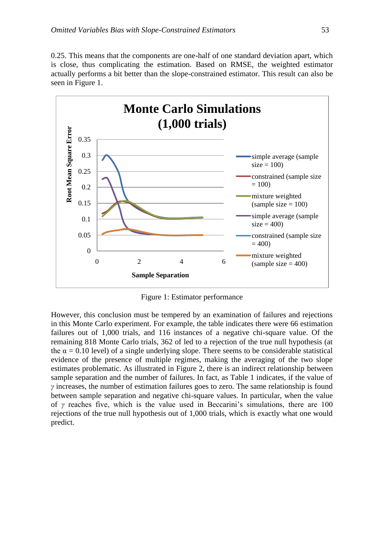0.25. This means that the components are one-half of one standard deviation apart, which is close, thus complicating the estimation. Based on RMSE, the weighted estimator actually performs a bit better than the slope-constrained estimator. This result can also be seen in Figure 1.



Figure 1: Estimator performance

However, this conclusion must be tempered by an examination of failures and rejections in this Monte Carlo experiment. For example, the table indicates there were 66 estimation failures out of 1,000 trials, and 116 instances of a negative chi-square value. Of the remaining 818 Monte Carlo trials, 362 of led to a rejection of the true null hypothesis (at the  $\alpha = 0.10$  level) of a single underlying slope. There seems to be considerable statistical evidence of the presence of multiple regimes, making the averaging of the two slope estimates problematic. As illustrated in Figure 2, there is an indirect relationship between sample separation and the number of failures. In fact, as Table 1 indicates, if the value of *γ* increases, the number of estimation failures goes to zero. The same relationship is found between sample separation and negative chi-square values. In particular, when the value of *γ* reaches five, which is the value used in Beccarini's simulations, there are 100 rejections of the true null hypothesis out of 1,000 trials, which is exactly what one would predict.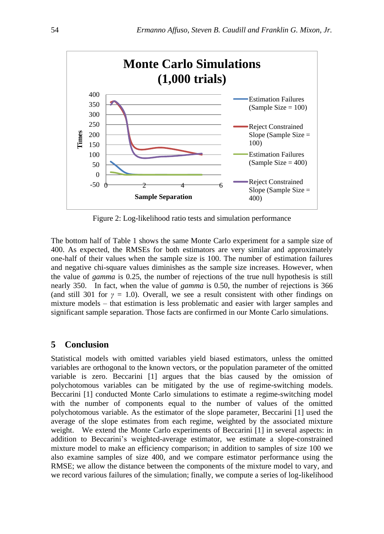

Figure 2: Log-likelihood ratio tests and simulation performance

The bottom half of Table 1 shows the same Monte Carlo experiment for a sample size of 400. As expected, the RMSEs for both estimators are very similar and approximately one-half of their values when the sample size is 100. The number of estimation failures and negative chi-square values diminishes as the sample size increases. However, when the value of *gamma* is 0.25, the number of rejections of the true null hypothesis is still nearly 350. In fact, when the value of *gamma* is 0.50, the number of rejections is 366 (and still 301 for  $\gamma = 1.0$ ). Overall, we see a result consistent with other findings on mixture models – that estimation is less problematic and easier with larger samples and significant sample separation. Those facts are confirmed in our Monte Carlo simulations.

# **5 Conclusion**

Statistical models with omitted variables yield biased estimators, unless the omitted variables are orthogonal to the known vectors, or the population parameter of the omitted variable is zero. Beccarini [1] argues that the bias caused by the omission of polychotomous variables can be mitigated by the use of regime-switching models. Beccarini [1] conducted Monte Carlo simulations to estimate a regime-switching model with the number of components equal to the number of values of the omitted polychotomous variable. As the estimator of the slope parameter, Beccarini [1] used the average of the slope estimates from each regime, weighted by the associated mixture weight. We extend the Monte Carlo experiments of Beccarini [1] in several aspects: in addition to Beccarini's weighted-average estimator, we estimate a slope-constrained mixture model to make an efficiency comparison; in addition to samples of size 100 we also examine samples of size 400, and we compare estimator performance using the RMSE; we allow the distance between the components of the mixture model to vary, and we record various failures of the simulation; finally, we compute a series of log-likelihood